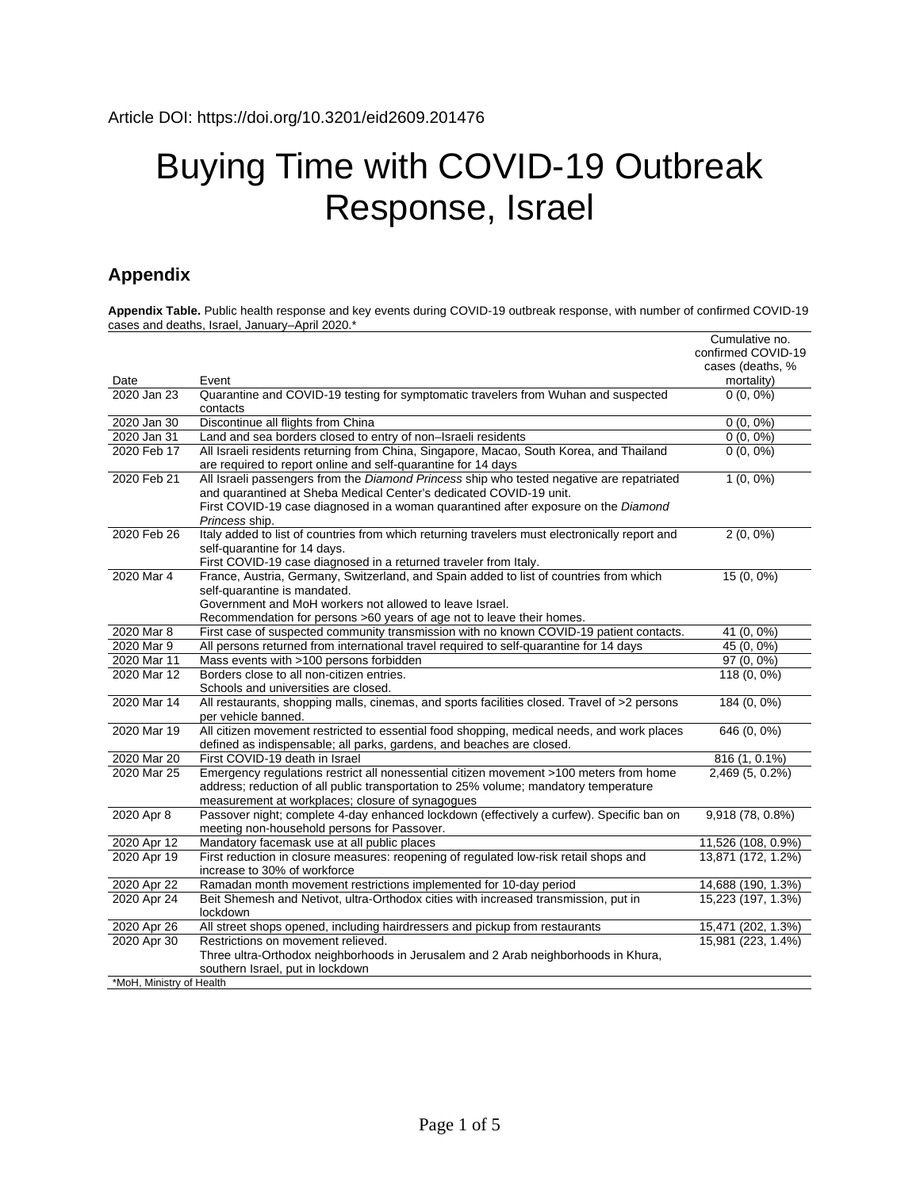## Buying Time with COVID-19 Outbreak Response, Israel

## **Appendix**

**Appendix Table.** Public health response and key events during COVID-19 outbreak response, with number of confirmed COVID-19 cases and deaths, Israel, January–April 2020.\*

|                          |                                                                                                                                                          | Cumulative no.                 |
|--------------------------|----------------------------------------------------------------------------------------------------------------------------------------------------------|--------------------------------|
|                          |                                                                                                                                                          | confirmed COVID-19             |
| Date                     | Event                                                                                                                                                    | cases (deaths, %<br>mortality) |
| 2020 Jan 23              | Quarantine and COVID-19 testing for symptomatic travelers from Wuhan and suspected                                                                       | $0(0, 0\%)$                    |
|                          | contacts                                                                                                                                                 |                                |
| 2020 Jan 30              | Discontinue all flights from China                                                                                                                       | $0(0, 0\%)$                    |
| 2020 Jan 31              | Land and sea borders closed to entry of non-Israeli residents                                                                                            | $0(0, 0\%)$                    |
| 2020 Feb 17              | All Israeli residents returning from China, Singapore, Macao, South Korea, and Thailand<br>are required to report online and self-quarantine for 14 days | $0(0, 0\%)$                    |
| 2020 Feb 21              | All Israeli passengers from the Diamond Princess ship who tested negative are repatriated                                                                | $1(0, 0\%)$                    |
|                          | and quarantined at Sheba Medical Center's dedicated COVID-19 unit.                                                                                       |                                |
|                          | First COVID-19 case diagnosed in a woman quarantined after exposure on the Diamond                                                                       |                                |
|                          | Princess ship.                                                                                                                                           |                                |
| 2020 Feb 26              | Italy added to list of countries from which returning travelers must electronically report and                                                           | $2(0, 0\%)$                    |
|                          | self-quarantine for 14 days.                                                                                                                             |                                |
|                          | First COVID-19 case diagnosed in a returned traveler from Italy.                                                                                         |                                |
| 2020 Mar 4               | France, Austria, Germany, Switzerland, and Spain added to list of countries from which                                                                   | 15 (0, 0%)                     |
|                          | self-quarantine is mandated.                                                                                                                             |                                |
|                          | Government and MoH workers not allowed to leave Israel.                                                                                                  |                                |
|                          | Recommendation for persons >60 years of age not to leave their homes.                                                                                    |                                |
| 2020 Mar 8               | First case of suspected community transmission with no known COVID-19 patient contacts.                                                                  | 41 (0, 0%)                     |
| 2020 Mar 9               | All persons returned from international travel required to self-quarantine for 14 days                                                                   | 45 (0, 0%)                     |
| 2020 Mar 11              | Mass events with >100 persons forbidden                                                                                                                  | $97(0, 0\%)$                   |
| 2020 Mar 12              | Borders close to all non-citizen entries.                                                                                                                | 118 (0, 0%)                    |
|                          | Schools and universities are closed.                                                                                                                     |                                |
| 2020 Mar 14              | All restaurants, shopping malls, cinemas, and sports facilities closed. Travel of >2 persons                                                             | 184 (0, 0%)                    |
|                          | per vehicle banned.                                                                                                                                      |                                |
| 2020 Mar 19              | All citizen movement restricted to essential food shopping, medical needs, and work places                                                               | 646 (0, 0%)                    |
|                          | defined as indispensable; all parks, gardens, and beaches are closed.                                                                                    |                                |
| 2020 Mar 20              | First COVID-19 death in Israel                                                                                                                           | 816 (1, 0.1%)                  |
| 2020 Mar 25              | Emergency regulations restrict all nonessential citizen movement >100 meters from home                                                                   | 2,469 (5, 0.2%)                |
|                          | address; reduction of all public transportation to 25% volume; mandatory temperature                                                                     |                                |
|                          | measurement at workplaces; closure of synagogues                                                                                                         |                                |
| 2020 Apr 8               | Passover night; complete 4-day enhanced lockdown (effectively a curfew). Specific ban on<br>meeting non-household persons for Passover.                  | 9,918 (78, 0.8%)               |
| 2020 Apr 12              | Mandatory facemask use at all public places                                                                                                              | 11,526 (108, 0.9%)             |
| 2020 Apr 19              | First reduction in closure measures: reopening of regulated low-risk retail shops and                                                                    | 13,871 (172, 1.2%)             |
|                          | increase to 30% of workforce                                                                                                                             |                                |
| 2020 Apr 22              | Ramadan month movement restrictions implemented for 10-day period                                                                                        | 14,688 (190, 1.3%)             |
| 2020 Apr 24              | Beit Shemesh and Netivot, ultra-Orthodox cities with increased transmission, put in                                                                      | 15,223 (197, 1.3%)             |
|                          | lockdown                                                                                                                                                 |                                |
| 2020 Apr 26              | All street shops opened, including hairdressers and pickup from restaurants                                                                              | 15,471 (202, 1.3%)             |
| 2020 Apr 30              | Restrictions on movement relieved.                                                                                                                       | 15,981 (223, 1.4%)             |
|                          | Three ultra-Orthodox neighborhoods in Jerusalem and 2 Arab neighborhoods in Khura,                                                                       |                                |
|                          | southern Israel, put in lockdown                                                                                                                         |                                |
| *MoH, Ministry of Health |                                                                                                                                                          |                                |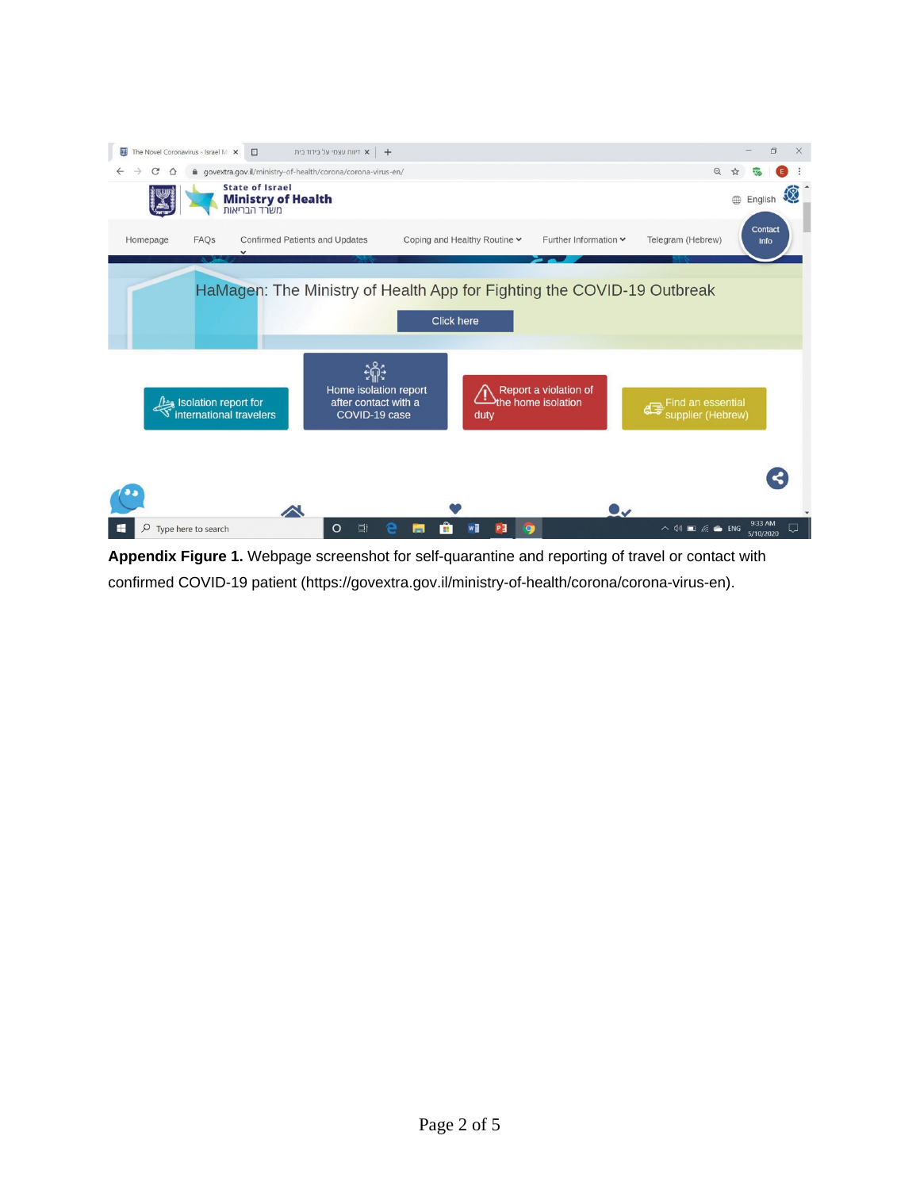

**Appendix Figure 1.** Webpage screenshot for self-quarantine and reporting of travel or contact with confirmed COVID-19 patient (https://govextra.gov.il/ministry-of-health/corona/corona-virus-en).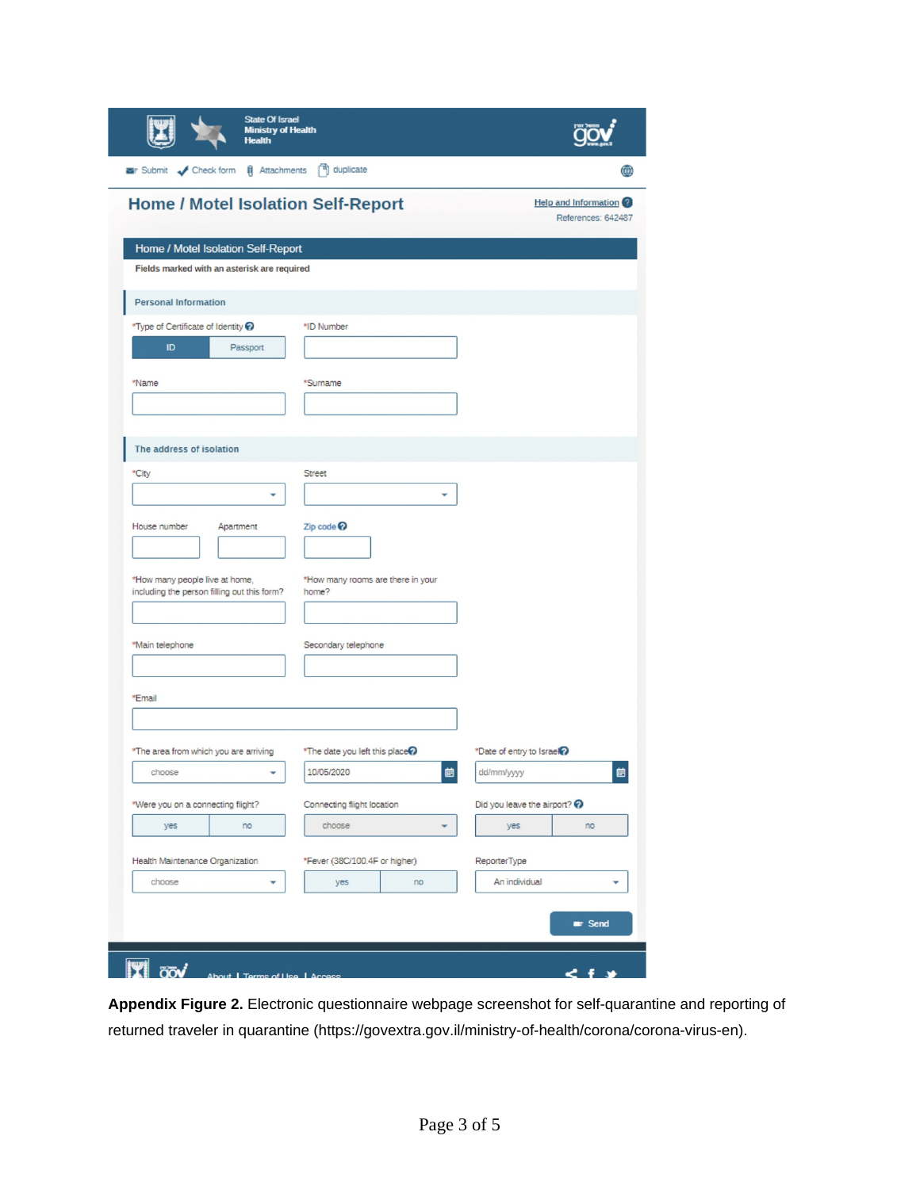|                                                                                   | State Of Israel<br><b>Ministry of Health</b><br><b>Health</b> |                                            |    |                                    |                                                   |
|-----------------------------------------------------------------------------------|---------------------------------------------------------------|--------------------------------------------|----|------------------------------------|---------------------------------------------------|
| Submit < Check form (i) Attachments (1) duplicate                                 |                                                               |                                            |    |                                    | ⊕                                                 |
|                                                                                   |                                                               | Home / Motel Isolation Self-Report         |    |                                    | <b>Help and Information</b><br>References: 642487 |
| Home / Motel Isolation Self-Report<br>Fields marked with an asterisk are required |                                                               |                                            |    |                                    |                                                   |
| <b>Personal Information</b>                                                       |                                                               |                                            |    |                                    |                                                   |
| *Type of Certificate of Identity ?                                                |                                                               | *ID Number                                 |    |                                    |                                                   |
| ID                                                                                | Passport                                                      |                                            |    |                                    |                                                   |
| *Name                                                                             |                                                               | *Surname                                   |    |                                    |                                                   |
|                                                                                   |                                                               |                                            |    |                                    |                                                   |
| The address of isolation                                                          |                                                               |                                            |    |                                    |                                                   |
| *City                                                                             |                                                               | Street                                     |    |                                    |                                                   |
|                                                                                   | ٠                                                             |                                            | ٠  |                                    |                                                   |
| House number                                                                      | Apartment                                                     | Zip code                                   |    |                                    |                                                   |
| *How many people live at home,<br>including the person filling out this form?     |                                                               | *How many rooms are there in your<br>home? |    |                                    |                                                   |
| *Main telephone                                                                   |                                                               | Secondary telephone                        |    |                                    |                                                   |
|                                                                                   |                                                               |                                            |    |                                    |                                                   |
| *Email                                                                            |                                                               |                                            |    |                                    |                                                   |
|                                                                                   |                                                               |                                            |    |                                    |                                                   |
| *The area from which you are arriving                                             |                                                               | *The date you left this place?             |    | *Date of entry to Israel?          |                                                   |
| choose                                                                            |                                                               | 10/05/2020                                 | 曲  | dd/mm/yyyy                         | 曲                                                 |
| *Were you on a connecting flight?                                                 |                                                               | Connecting flight location                 |    | Did you leave the airport? $\odot$ |                                                   |
| yes                                                                               | no                                                            | choose                                     |    | yes                                | no                                                |
| Health Maintenance Organization                                                   |                                                               | *Fever (38C/100.4F or higher)              |    | ReporterType                       |                                                   |
| choose                                                                            |                                                               | yes                                        | no | An individual                      |                                                   |
|                                                                                   |                                                               |                                            |    |                                    | <b>Er</b> Send                                    |
|                                                                                   |                                                               |                                            |    |                                    |                                                   |

**Appendix Figure 2.** Electronic questionnaire webpage screenshot for self-quarantine and reporting of returned traveler in quarantine (https://govextra.gov.il/ministry-of-health/corona/corona-virus-en).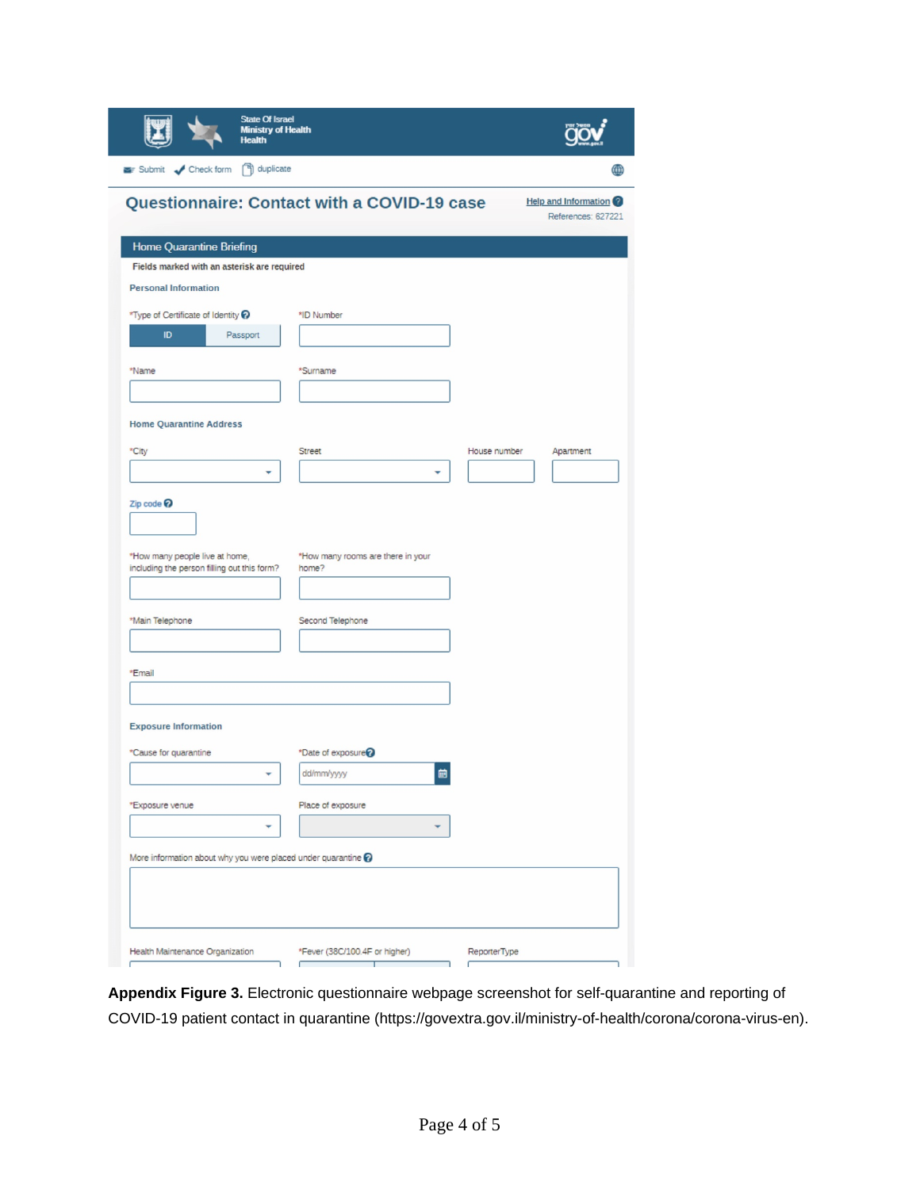| <b>State Of Israel</b><br><b>Ministry of Health</b><br><b>Health</b>                      |                                            |              |                                                   |
|-------------------------------------------------------------------------------------------|--------------------------------------------|--------------|---------------------------------------------------|
| Submit < Check form <a>[4]</a> duplicate                                                  |                                            |              | ∰                                                 |
| Questionnaire: Contact with a COVID-19 case                                               |                                            |              | <b>Help and Information</b><br>References: 627221 |
| <b>Home Quarantine Briefing</b>                                                           |                                            |              |                                                   |
| Fields marked with an asterisk are required                                               |                                            |              |                                                   |
| <b>Personal Information</b>                                                               |                                            |              |                                                   |
| *Type of Certificate of Identity ?                                                        | *ID Number                                 |              |                                                   |
| ID<br>Passport                                                                            |                                            |              |                                                   |
| *Name                                                                                     | *Surname                                   |              |                                                   |
|                                                                                           |                                            |              |                                                   |
|                                                                                           |                                            |              |                                                   |
| <b>Home Quarantine Address</b>                                                            |                                            |              |                                                   |
| *City                                                                                     | Street                                     | House number | Apartment                                         |
|                                                                                           |                                            |              |                                                   |
| Zip code<br>*How many people live at home,<br>including the person filling out this form? | *How many rooms are there in your<br>home? |              |                                                   |
| *Main Telephone                                                                           | Second Telephone                           |              |                                                   |
|                                                                                           |                                            |              |                                                   |
|                                                                                           |                                            |              |                                                   |
| *Email                                                                                    |                                            |              |                                                   |
| <b>Exposure Information</b>                                                               |                                            |              |                                                   |
| *Cause for quarantine                                                                     | *Date of exposure                          |              |                                                   |
|                                                                                           | 崮<br>dd/mm/yyyy                            |              |                                                   |
| *Exposure venue                                                                           | Place of exposure                          |              |                                                   |
|                                                                                           |                                            |              |                                                   |
| More information about why you were placed under quarantine $\odot$                       |                                            |              |                                                   |
|                                                                                           |                                            |              |                                                   |
| Health Maintenance Organization                                                           | *Fever (38C/100.4F or higher)<br>т         | ReporterType |                                                   |

**Appendix Figure 3.** Electronic questionnaire webpage screenshot for self-quarantine and reporting of COVID-19 patient contact in quarantine (https://govextra.gov.il/ministry-of-health/corona/corona-virus-en).